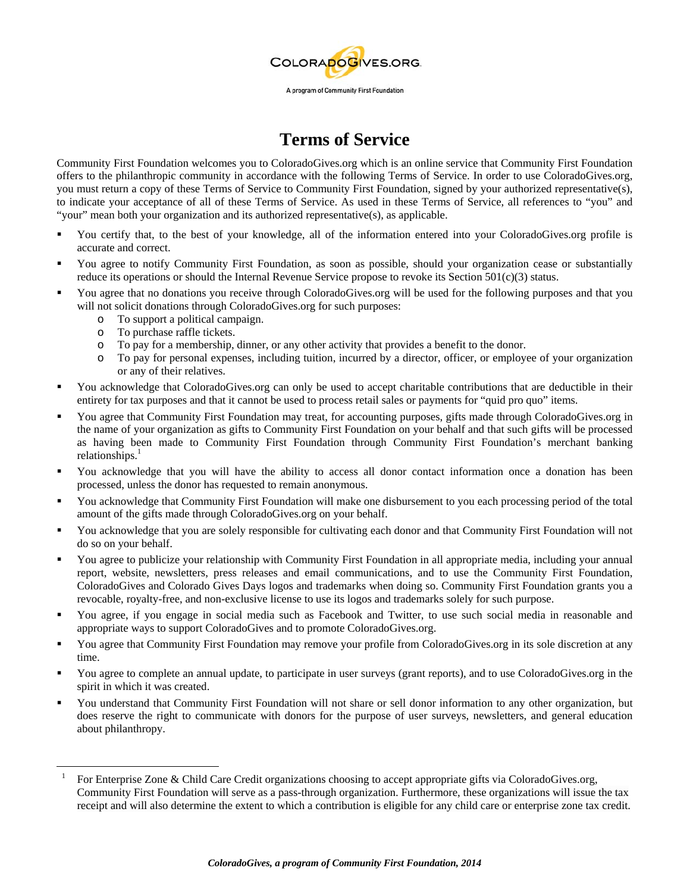

## **Terms of Service**

Community First Foundation welcomes you to ColoradoGives.org which is an online service that Community First Foundation offers to the philanthropic community in accordance with the following Terms of Service. In order to use ColoradoGives.org, you must return a copy of these Terms of Service to Community First Foundation, signed by your authorized representative(s), to indicate your acceptance of all of these Terms of Service. As used in these Terms of Service, all references to "you" and "your" mean both your organization and its authorized representative(s), as applicable.

- You certify that, to the best of your knowledge, all of the information entered into your ColoradoGives.org profile is accurate and correct.
- You agree to notify Community First Foundation, as soon as possible, should your organization cease or substantially reduce its operations or should the Internal Revenue Service propose to revoke its Section 501(c)(3) status.
- You agree that no donations you receive through ColoradoGives.org will be used for the following purposes and that you will not solicit donations through ColoradoGives.org for such purposes:
	- o To support a political campaign.
	- o To purchase raffle tickets.
	- o To pay for a membership, dinner, or any other activity that provides a benefit to the donor.
	- o To pay for personal expenses, including tuition, incurred by a director, officer, or employee of your organization or any of their relatives.
- You acknowledge that ColoradoGives.org can only be used to accept charitable contributions that are deductible in their entirety for tax purposes and that it cannot be used to process retail sales or payments for "quid pro quo" items.
- You agree that Community First Foundation may treat, for accounting purposes, gifts made through ColoradoGives.org in the name of your organization as gifts to Community First Foundation on your behalf and that such gifts will be processed as having been made to Community First Foundation through Community First Foundation's merchant banking  $relationships.<sup>1</sup>$
- You acknowledge that you will have the ability to access all donor contact information once a donation has been processed, unless the donor has requested to remain anonymous.
- You acknowledge that Community First Foundation will make one disbursement to you each processing period of the total amount of the gifts made through ColoradoGives.org on your behalf.
- You acknowledge that you are solely responsible for cultivating each donor and that Community First Foundation will not do so on your behalf.
- You agree to publicize your relationship with Community First Foundation in all appropriate media, including your annual report, website, newsletters, press releases and email communications, and to use the Community First Foundation, ColoradoGives and Colorado Gives Days logos and trademarks when doing so. Community First Foundation grants you a revocable, royalty-free, and non-exclusive license to use its logos and trademarks solely for such purpose.
- You agree, if you engage in social media such as Facebook and Twitter, to use such social media in reasonable and appropriate ways to support ColoradoGives and to promote ColoradoGives.org.
- You agree that Community First Foundation may remove your profile from ColoradoGives.org in its sole discretion at any time.
- You agree to complete an annual update, to participate in user surveys (grant reports), and to use ColoradoGives.org in the spirit in which it was created.
- You understand that Community First Foundation will not share or sell donor information to any other organization, but does reserve the right to communicate with donors for the purpose of user surveys, newsletters, and general education about philanthropy.

 $\overline{a}$ 1 For Enterprise Zone & Child Care Credit organizations choosing to accept appropriate gifts via ColoradoGives.org, Community First Foundation will serve as a pass-through organization. Furthermore, these organizations will issue the tax receipt and will also determine the extent to which a contribution is eligible for any child care or enterprise zone tax credit.